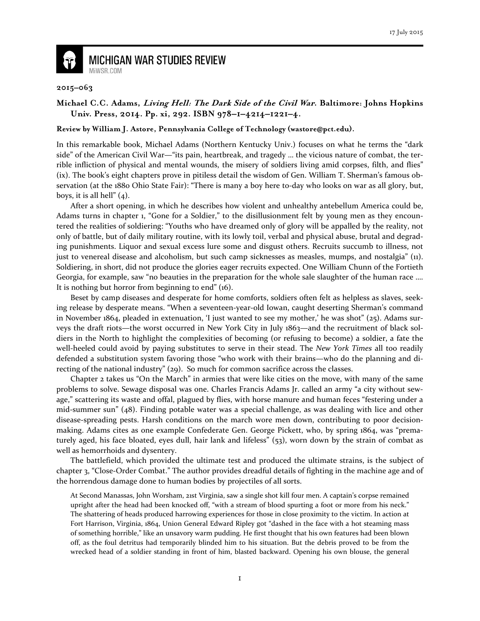

## **MICHIGAN WAR STUDIES REVIEW** MiWSR.COM

## **2015–063**

## **Michael C.C. Adams, Living Hell: The Dark Side of the Civil War. Baltimore: Johns Hopkins Univ. Press, 2014. Pp. xi, 292. ISBN 978–1–4214–1221–4.**

## **Review by William J. Astore, Pennsylvania College of Technology (wastore@pct.edu).**

In this remarkable book, Michael Adams (Northern Kentucky Univ.) focuses on what he terms the "dark side" of the American Civil War—"its pain, heartbreak, and tragedy … the vicious nature of combat, the terrible infliction of physical and mental wounds, the misery of soldiers living amid corpses, filth, and flies" (ix). The book's eight chapters prove in pitiless detail the wisdom of Gen. William T. Sherman's famous observation (at the 1880 Ohio State Fair): "There is many a boy here to-day who looks on war as all glory, but, boys, it is all hell"  $(4)$ .

After a short opening, in which he describes how violent and unhealthy antebellum America could be, Adams turns in chapter 1, "Gone for a Soldier," to the disillusionment felt by young men as they encountered the realities of soldiering: "Youths who have dreamed only of glory will be appalled by the reality, not only of battle, but of daily military routine, with its lowly toil, verbal and physical abuse, brutal and degrading punishments. Liquor and sexual excess lure some and disgust others. Recruits succumb to illness, not just to venereal disease and alcoholism, but such camp sicknesses as measles, mumps, and nostalgia" (11). Soldiering, in short, did not produce the glories eager recruits expected. One William Chunn of the Fortieth Georgia, for example, saw "no beauties in the preparation for the whole sale slaughter of the human race …. It is nothing but horror from beginning to end" (16).

Beset by camp diseases and desperate for home comforts, soldiers often felt as helpless as slaves, seeking release by desperate means. "When a seventeen-year-old Iowan, caught deserting Sherman's command in November 1864, pleaded in extenuation, 'I just wanted to see my mother,' he was shot" (25). Adams surveys the draft riots—the worst occurred in New York City in July 1863—and the recruitment of black soldiers in the North to highlight the complexities of becoming (or refusing to become) a soldier, a fate the well-heeled could avoid by paying substitutes to serve in their stead. The New York Times all too readily defended a substitution system favoring those "who work with their brains—who do the planning and directing of the national industry" (29). So much for common sacrifice across the classes.

Chapter 2 takes us "On the March" in armies that were like cities on the move, with many of the same problems to solve. Sewage disposal was one. Charles Francis Adams Jr. called an army "a city without sewage," scattering its waste and offal, plagued by flies, with horse manure and human feces "festering under a mid-summer sun" (48). Finding potable water was a special challenge, as was dealing with lice and other disease-spreading pests. Harsh conditions on the march wore men down, contributing to poor decisionmaking. Adams cites as one example Confederate Gen. George Pickett, who, by spring 1864, was "prematurely aged, his face bloated, eyes dull, hair lank and lifeless" (53), worn down by the strain of combat as well as hemorrhoids and dysentery.

The battlefield, which provided the ultimate test and produced the ultimate strains, is the subject of chapter 3, "Close-Order Combat." The author provides dreadful details of fighting in the machine age and of the horrendous damage done to human bodies by projectiles of all sorts.

At Second Manassas, John Worsham, 21st Virginia, saw a single shot kill four men. A captain's corpse remained upright after the head had been knocked off, "with a stream of blood spurting a foot or more from his neck." The shattering of heads produced harrowing experiences for those in close proximity to the victim. In action at Fort Harrison, Virginia, 1864, Union General Edward Ripley got "dashed in the face with a hot steaming mass of something horrible," like an unsavory warm pudding. He first thought that his own features had been blown off, as the foul detritus had temporarily blinded him to his situation. But the debris proved to be from the wrecked head of a soldier standing in front of him, blasted backward. Opening his own blouse, the general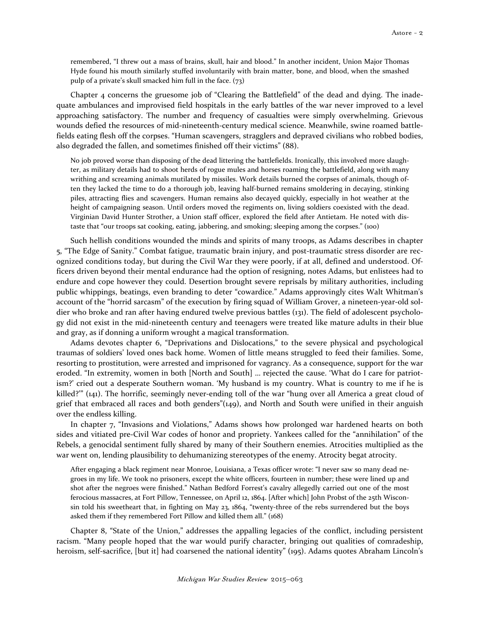remembered, "I threw out a mass of brains, skull, hair and blood." In another incident, Union Major Thomas Hyde found his mouth similarly stuffed involuntarily with brain matter, bone, and blood, when the smashed pulp of a private's skull smacked him full in the face. (73)

Chapter 4 concerns the gruesome job of "Clearing the Battlefield" of the dead and dying. The inadequate ambulances and improvised field hospitals in the early battles of the war never improved to a level approaching satisfactory. The number and frequency of casualties were simply overwhelming. Grievous wounds defied the resources of mid-nineteenth-century medical science. Meanwhile, swine roamed battlefields eating flesh off the corpses. "Human scavengers, stragglers and depraved civilians who robbed bodies, also degraded the fallen, and sometimes finished off their victims" (88).

No job proved worse than disposing of the dead littering the battlefields. Ironically, this involved more slaughter, as military details had to shoot herds of rogue mules and horses roaming the battlefield, along with many writhing and screaming animals mutilated by missiles. Work details burned the corpses of animals, though often they lacked the time to do a thorough job, leaving half-burned remains smoldering in decaying, stinking piles, attracting flies and scavengers. Human remains also decayed quickly, especially in hot weather at the height of campaigning season. Until orders moved the regiments on, living soldiers coexisted with the dead. Virginian David Hunter Strother, a Union staff officer, explored the field after Antietam. He noted with distaste that "our troops sat cooking, eating, jabbering, and smoking; sleeping among the corpses." (100)

Such hellish conditions wounded the minds and spirits of many troops, as Adams describes in chapter 5, "The Edge of Sanity." Combat fatigue, traumatic brain injury, and post-traumatic stress disorder are recognized conditions today, but during the Civil War they were poorly, if at all, defined and understood. Officers driven beyond their mental endurance had the option of resigning, notes Adams, but enlistees had to endure and cope however they could. Desertion brought severe reprisals by military authorities, including public whippings, beatings, even branding to deter "cowardice." Adams approvingly cites Walt Whitman's account of the "horrid sarcasm" of the execution by firing squad of William Grover, a nineteen-year-old soldier who broke and ran after having endured twelve previous battles (131). The field of adolescent psychology did not exist in the mid-nineteenth century and teenagers were treated like mature adults in their blue and gray, as if donning a uniform wrought a magical transformation.

Adams devotes chapter 6, "Deprivations and Dislocations," to the severe physical and psychological traumas of soldiers' loved ones back home. Women of little means struggled to feed their families. Some, resorting to prostitution, were arrested and imprisoned for vagrancy. As a consequence, support for the war eroded. "In extremity, women in both [North and South] … rejected the cause. 'What do I care for patriotism?' cried out a desperate Southern woman. 'My husband is my country. What is country to me if he is killed?'" (141). The horrific, seemingly never-ending toll of the war "hung over all America a great cloud of grief that embraced all races and both genders"(149), and North and South were unified in their anguish over the endless killing.

In chapter 7, "Invasions and Violations," Adams shows how prolonged war hardened hearts on both sides and vitiated pre-Civil War codes of honor and propriety. Yankees called for the "annihilation" of the Rebels, a genocidal sentiment fully shared by many of their Southern enemies. Atrocities multiplied as the war went on, lending plausibility to dehumanizing stereotypes of the enemy. Atrocity begat atrocity.

After engaging a black regiment near Monroe, Louisiana, a Texas officer wrote: "I never saw so many dead negroes in my life. We took no prisoners, except the white officers, fourteen in number; these were lined up and shot after the negroes were finished." Nathan Bedford Forrest's cavalry allegedly carried out one of the most ferocious massacres, at Fort Pillow, Tennessee, on April 12, 1864. [After which] John Probst of the 25th Wisconsin told his sweetheart that, in fighting on May 23, 1864, "twenty-three of the rebs surrendered but the boys asked them if they remembered Fort Pillow and killed them all." (168)

Chapter 8, "State of the Union," addresses the appalling legacies of the conflict, including persistent racism. "Many people hoped that the war would purify character, bringing out qualities of comradeship, heroism, self-sacrifice, [but it] had coarsened the national identity" (195). Adams quotes Abraham Lincoln's